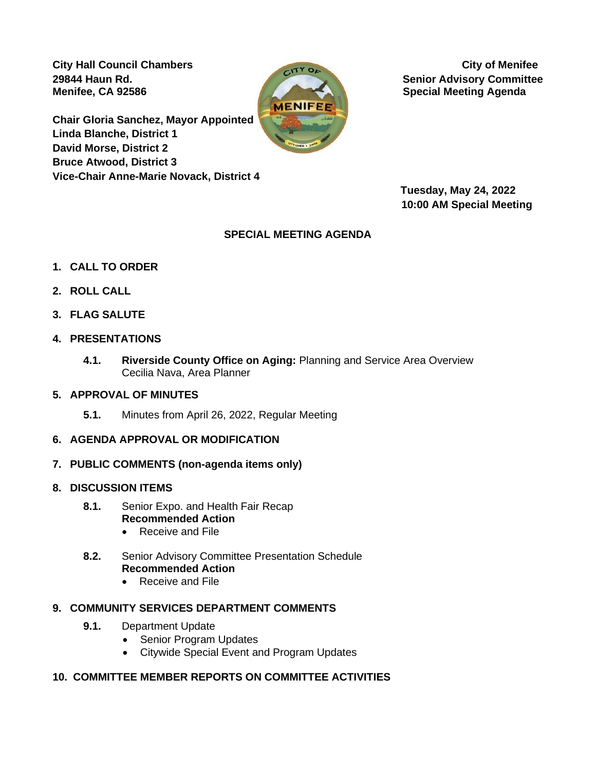City Hall Council Chambers **City of Menifee Menifee, CA 92586 Special Meeting Agenda Special Meeting Agenda** 

**Chair Gloria Sanchez, Mayor Appointed Linda Blanche, District 1 David Morse, District 2 Bruce Atwood, District 3 Vice-Chair Anne-Marie Novack, District 4** 



**29844 Haun Rd. Senior Advisory Committee**

 **Tuesday, May 24, 2022 10:00 AM Special Meeting**

# **SPECIAL MEETING AGENDA**

- **1. CALL TO ORDER**
- **2. ROLL CALL**
- **3. FLAG SALUTE**
- **4. PRESENTATIONS**
	- **4.1. Riverside County Office on Aging:** Planning and Service Area Overview Cecilia Nava, Area Planner
- **5. APPROVAL OF MINUTES**
	- **5.1.** Minutes from April 26, 2022, Regular Meeting
- **6. AGENDA APPROVAL OR MODIFICATION**
- **7. PUBLIC COMMENTS (non-agenda items only)**
- **8. DISCUSSION ITEMS**
	- **8.1.** Senior Expo. and Health Fair Recap **Recommended Action**
		- Receive and File
	- **8.2.** Senior Advisory Committee Presentation Schedule **Recommended Action**
		- Receive and File

### **9. COMMUNITY SERVICES DEPARTMENT COMMENTS**

- **9.1.** Department Update
	- Senior Program Updates
	- Citywide Special Event and Program Updates

### **10. COMMITTEE MEMBER REPORTS ON COMMITTEE ACTIVITIES**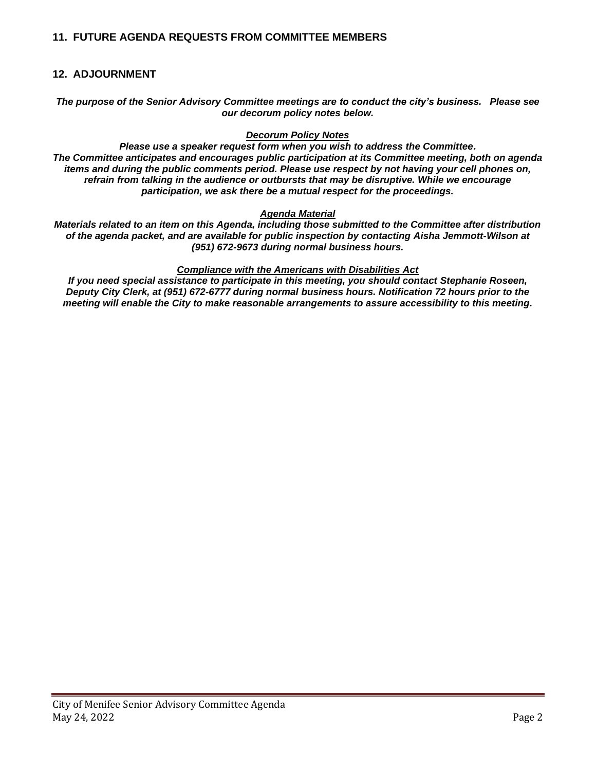### **11. FUTURE AGENDA REQUESTS FROM COMMITTEE MEMBERS**

#### **12. ADJOURNMENT**

*The purpose of the Senior Advisory Committee meetings are to conduct the city's business. Please see our decorum policy notes below.*

#### *Decorum Policy Notes*

*Please use a speaker request form when you wish to address the Committee. The Committee anticipates and encourages public participation at its Committee meeting, both on agenda items and during the public comments period. Please use respect by not having your cell phones on, refrain from talking in the audience or outbursts that may be disruptive. While we encourage participation, we ask there be a mutual respect for the proceedings.*

#### *Agenda Material*

*Materials related to an item on this Agenda, including those submitted to the Committee after distribution of the agenda packet, and are available for public inspection by contacting Aisha Jemmott-Wilson at (951) 672-9673 during normal business hours.*

#### *Compliance with the Americans with Disabilities Act*

*If you need special assistance to participate in this meeting, you should contact Stephanie Roseen, Deputy City Clerk, at (951) 672-6777 during normal business hours. Notification 72 hours prior to the meeting will enable the City to make reasonable arrangements to assure accessibility to this meeting.*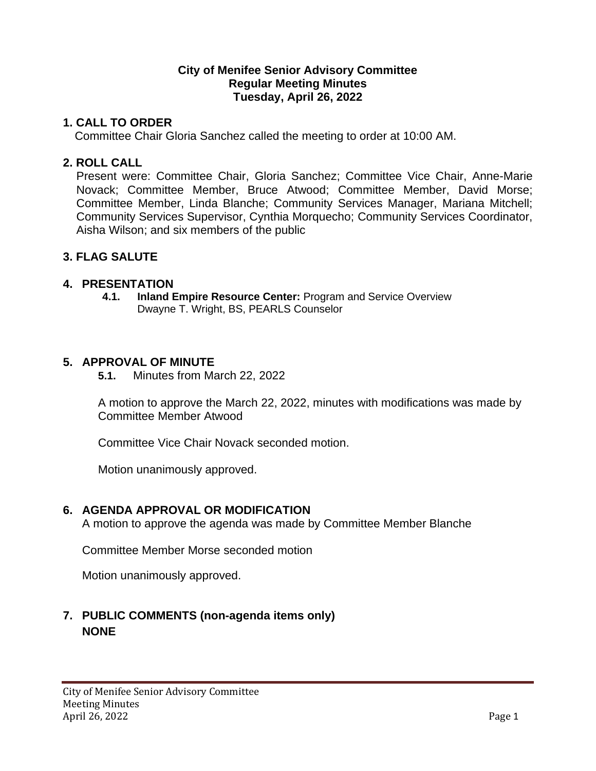# **City of Menifee Senior Advisory Committee Regular Meeting Minutes Tuesday, April 26, 2022**

# **1. CALL TO ORDER**

Committee Chair Gloria Sanchez called the meeting to order at 10:00 AM.

# **2. ROLL CALL**

Present were: Committee Chair, Gloria Sanchez; Committee Vice Chair, Anne-Marie Novack; Committee Member, Bruce Atwood; Committee Member, David Morse; Committee Member, Linda Blanche; Community Services Manager, Mariana Mitchell; Community Services Supervisor, Cynthia Morquecho; Community Services Coordinator, Aisha Wilson; and six members of the public

# **3. FLAG SALUTE**

# **4. PRESENTATION**

**4.1. Inland Empire Resource Center:** Program and Service Overview Dwayne T. Wright, BS, PEARLS Counselor

# **5. APPROVAL OF MINUTE**

**5.1.** Minutes from March 22, 2022

A motion to approve the March 22, 2022, minutes with modifications was made by Committee Member Atwood

Committee Vice Chair Novack seconded motion.

Motion unanimously approved.

# **6. AGENDA APPROVAL OR MODIFICATION**

A motion to approve the agenda was made by Committee Member Blanche

Committee Member Morse seconded motion

Motion unanimously approved.

# **7. PUBLIC COMMENTS (non-agenda items only) NONE**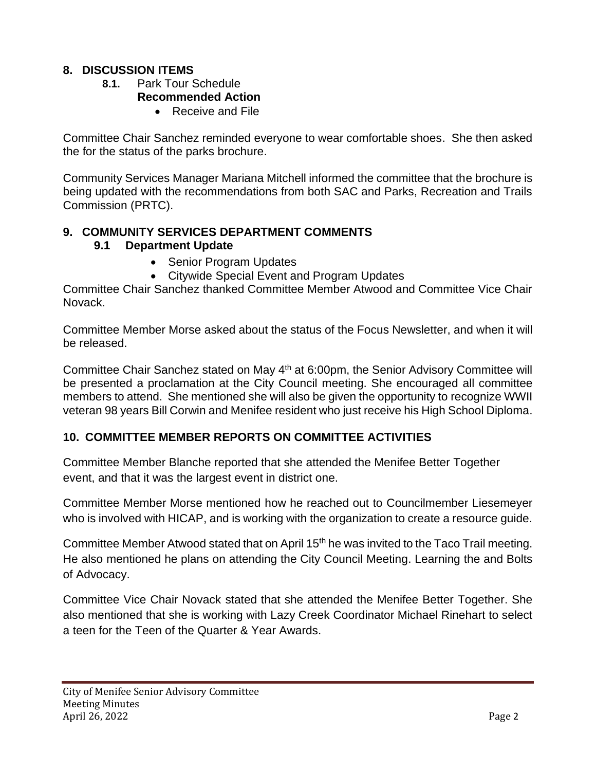# **8. DISCUSSION ITEMS**

- **8.1.** Park Tour Schedule **Recommended Action**
	- Receive and File

Committee Chair Sanchez reminded everyone to wear comfortable shoes. She then asked the for the status of the parks brochure.

Community Services Manager Mariana Mitchell informed the committee that the brochure is being updated with the recommendations from both SAC and Parks, Recreation and Trails Commission (PRTC).

# **9. COMMUNITY SERVICES DEPARTMENT COMMENTS 9.1 Department Update**

- Senior Program Updates
	- Citywide Special Event and Program Updates

Committee Chair Sanchez thanked Committee Member Atwood and Committee Vice Chair Novack.

Committee Member Morse asked about the status of the Focus Newsletter, and when it will be released.

Committee Chair Sanchez stated on May 4<sup>th</sup> at 6:00pm, the Senior Advisory Committee will be presented a proclamation at the City Council meeting. She encouraged all committee members to attend. She mentioned she will also be given the opportunity to recognize WWII veteran 98 years Bill Corwin and Menifee resident who just receive his High School Diploma.

# **10. COMMITTEE MEMBER REPORTS ON COMMITTEE ACTIVITIES**

Committee Member Blanche reported that she attended the Menifee Better Together event, and that it was the largest event in district one.

Committee Member Morse mentioned how he reached out to Councilmember Liesemeyer who is involved with HICAP, and is working with the organization to create a resource guide.

Committee Member Atwood stated that on April 15<sup>th</sup> he was invited to the Taco Trail meeting. He also mentioned he plans on attending the City Council Meeting. Learning the and Bolts of Advocacy.

Committee Vice Chair Novack stated that she attended the Menifee Better Together. She also mentioned that she is working with Lazy Creek Coordinator Michael Rinehart to select a teen for the Teen of the Quarter & Year Awards.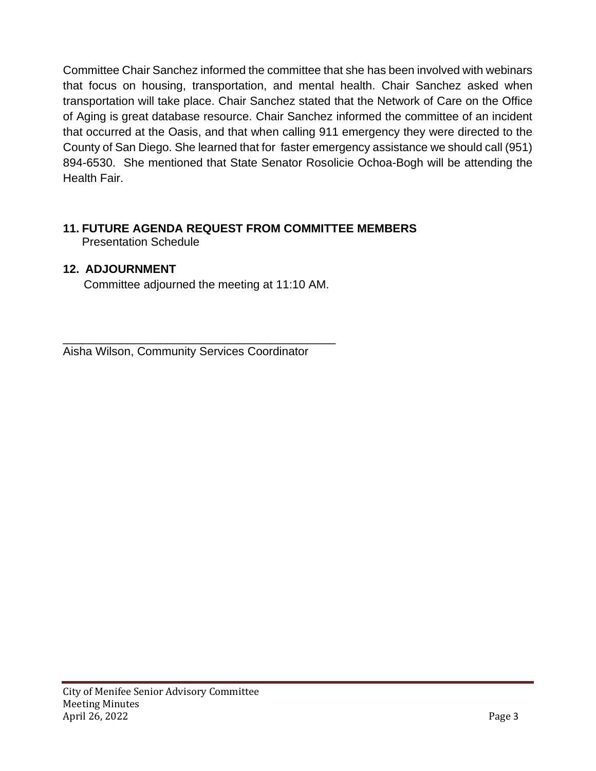Committee Chair Sanchez informed the committee that she has been involved with webinars that focus on housing, transportation, and mental health. Chair Sanchez asked when transportation will take place. Chair Sanchez stated that the Network of Care on the Office of Aging is great database resource. Chair Sanchez informed the committee of an incident that occurred at the Oasis, and that when calling 911 emergency they were directed to the County of San Diego. She learned that for faster emergency assistance we should call (951) 894-6530. She mentioned that State Senator Rosolicie Ochoa-Bogh will be attending the Health Fair.

### **11. FUTURE AGENDA REQUEST FROM COMMITTEE MEMBERS** Presentation Schedule

# **12. ADJOURNMENT**

Committee adjourned the meeting at 11:10 AM.

\_\_\_\_\_\_\_\_\_\_\_\_\_\_\_\_\_\_\_\_\_\_\_\_\_\_\_\_\_\_\_\_\_\_\_\_\_\_\_\_\_\_ Aisha Wilson, Community Services Coordinator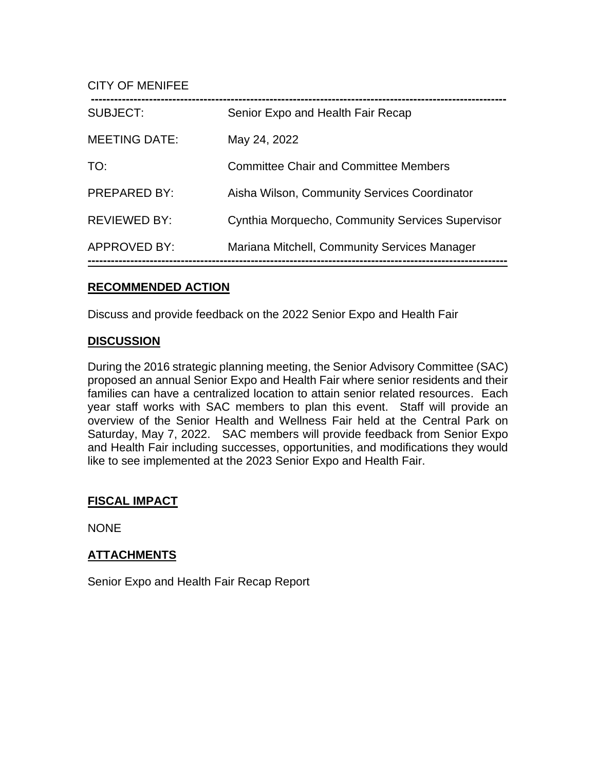CITY OF MENIFEE

| SUBJECT:             | Senior Expo and Health Fair Recap                |
|----------------------|--------------------------------------------------|
| <b>MEETING DATE:</b> | May 24, 2022                                     |
| TO:                  | Committee Chair and Committee Members            |
| <b>PREPARED BY:</b>  | Aisha Wilson, Community Services Coordinator     |
| <b>REVIEWED BY:</b>  | Cynthia Morquecho, Community Services Supervisor |
| <b>APPROVED BY:</b>  | Mariana Mitchell, Community Services Manager     |

### **RECOMMENDED ACTION**

Discuss and provide feedback on the 2022 Senior Expo and Health Fair

### **DISCUSSION**

During the 2016 strategic planning meeting, the Senior Advisory Committee (SAC) proposed an annual Senior Expo and Health Fair where senior residents and their families can have a centralized location to attain senior related resources. Each year staff works with SAC members to plan this event. Staff will provide an overview of the Senior Health and Wellness Fair held at the Central Park on Saturday, May 7, 2022. SAC members will provide feedback from Senior Expo and Health Fair including successes, opportunities, and modifications they would like to see implemented at the 2023 Senior Expo and Health Fair.

# **FISCAL IMPACT**

NONE

# **ATTACHMENTS**

Senior Expo and Health Fair Recap Report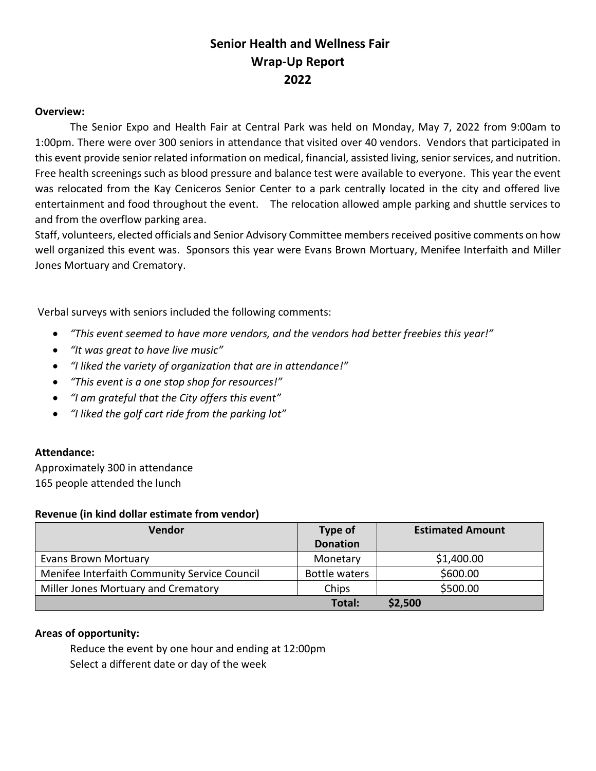# **Senior Health and Wellness Fair Wrap-Up Report 2022**

#### **Overview:**

The Senior Expo and Health Fair at Central Park was held on Monday, May 7, 2022 from 9:00am to 1:00pm. There were over 300 seniors in attendance that visited over 40 vendors. Vendors that participated in this event provide senior related information on medical, financial, assisted living, senior services, and nutrition. Free health screenings such as blood pressure and balance test were available to everyone. This year the event was relocated from the Kay Ceniceros Senior Center to a park centrally located in the city and offered live entertainment and food throughout the event. The relocation allowed ample parking and shuttle services to and from the overflow parking area.

Staff, volunteers, elected officials and Senior Advisory Committee members received positive comments on how well organized this event was. Sponsors this year were Evans Brown Mortuary, Menifee Interfaith and Miller Jones Mortuary and Crematory.

Verbal surveys with seniors included the following comments:

- *"This event seemed to have more vendors, and the vendors had better freebies this year!"*
- *"It was great to have live music"*
- *"I liked the variety of organization that are in attendance!"*
- *"This event is a one stop shop for resources!"*
- *"I am grateful that the City offers this event"*
- *"I liked the golf cart ride from the parking lot"*

### **Attendance:**

Approximately 300 in attendance 165 people attended the lunch

#### **Revenue (in kind dollar estimate from vendor)**

| <b>Vendor</b>                                | Type of         | <b>Estimated Amount</b> |
|----------------------------------------------|-----------------|-------------------------|
|                                              | <b>Donation</b> |                         |
| <b>Evans Brown Mortuary</b>                  | Monetary        | \$1,400.00              |
| Menifee Interfaith Community Service Council | Bottle waters   | \$600.00                |
| Miller Jones Mortuary and Crematory          | Chips           | \$500.00                |
|                                              | Total:          | \$2,500                 |

### **Areas of opportunity:**

Reduce the event by one hour and ending at 12:00pm Select a different date or day of the week